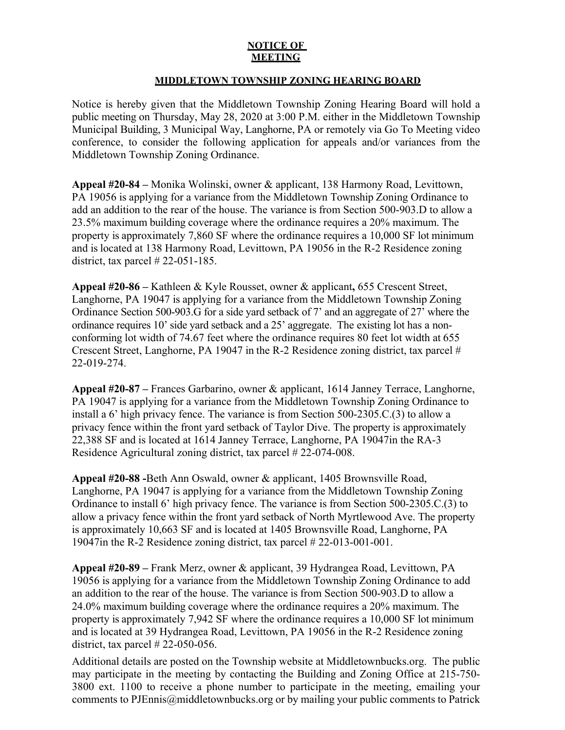## **NOTICE OF MEETING**

## **MIDDLETOWN TOWNSHIP ZONING HEARING BOARD**

Notice is hereby given that the Middletown Township Zoning Hearing Board will hold a public meeting on Thursday, May 28, 2020 at 3:00 P.M. either in the Middletown Township Municipal Building, 3 Municipal Way, Langhorne, PA or remotely via Go To Meeting video conference, to consider the following application for appeals and/or variances from the Middletown Township Zoning Ordinance.

**Appeal #20-84 –** Monika Wolinski, owner & applicant, 138 Harmony Road, Levittown, PA 19056 is applying for a variance from the Middletown Township Zoning Ordinance to add an addition to the rear of the house. The variance is from Section 500-903.D to allow a 23.5% maximum building coverage where the ordinance requires a 20% maximum. The property is approximately 7,860 SF where the ordinance requires a 10,000 SF lot minimum and is located at 138 Harmony Road, Levittown, PA 19056 in the R-2 Residence zoning district, tax parcel  $\# 22-051-185$ .

**Appeal #20-86 –** Kathleen & Kyle Rousset, owner & applicant**,** 655 Crescent Street, Langhorne, PA 19047 is applying for a variance from the Middletown Township Zoning Ordinance Section 500-903.G for a side yard setback of 7' and an aggregate of 27' where the ordinance requires 10' side yard setback and a 25' aggregate. The existing lot has a nonconforming lot width of 74.67 feet where the ordinance requires 80 feet lot width at 655 Crescent Street, Langhorne, PA 19047 in the R-2 Residence zoning district, tax parcel # 22-019-274.

**Appeal #20-87 –** Frances Garbarino, owner & applicant, 1614 Janney Terrace, Langhorne, PA 19047 is applying for a variance from the Middletown Township Zoning Ordinance to install a 6' high privacy fence. The variance is from Section 500-2305.C.(3) to allow a privacy fence within the front yard setback of Taylor Dive. The property is approximately 22,388 SF and is located at 1614 Janney Terrace, Langhorne, PA 19047in the RA-3 Residence Agricultural zoning district, tax parcel # 22-074-008.

**Appeal #20-88 -**Beth Ann Oswald, owner & applicant, 1405 Brownsville Road, Langhorne, PA 19047 is applying for a variance from the Middletown Township Zoning Ordinance to install 6' high privacy fence. The variance is from Section 500-2305.C.(3) to allow a privacy fence within the front yard setback of North Myrtlewood Ave. The property is approximately 10,663 SF and is located at 1405 Brownsville Road, Langhorne, PA 19047in the R-2 Residence zoning district, tax parcel # 22-013-001-001.

**Appeal #20-89 –** Frank Merz, owner & applicant, 39 Hydrangea Road, Levittown, PA 19056 is applying for a variance from the Middletown Township Zoning Ordinance to add an addition to the rear of the house. The variance is from Section 500-903.D to allow a 24.0% maximum building coverage where the ordinance requires a 20% maximum. The property is approximately 7,942 SF where the ordinance requires a 10,000 SF lot minimum and is located at 39 Hydrangea Road, Levittown, PA 19056 in the R-2 Residence zoning district, tax parcel # 22-050-056.

Additional details are posted on the Township website at Middletownbucks.org. The public may participate in the meeting by contacting the Building and Zoning Office at 215-750- 3800 ext. 1100 to receive a phone number to participate in the meeting, emailing your comments to PJEnnis@middletownbucks.org or by mailing your public comments to Patrick